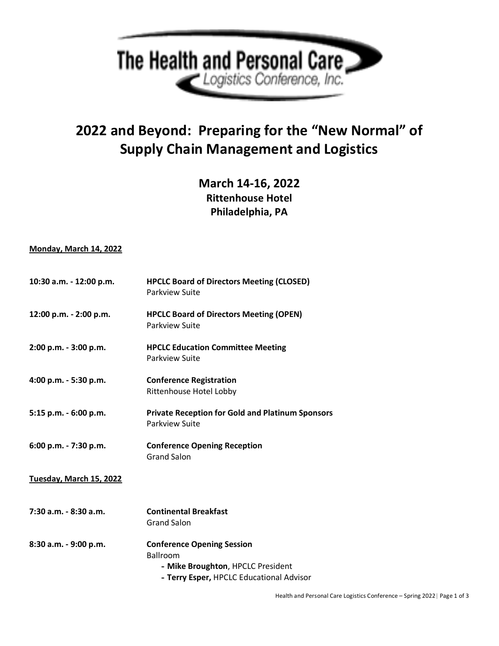

## **2022 and Beyond: Preparing for the "New Normal" of Supply Chain Management and Logistics**

**March 14-16, 2022 Rittenhouse Hotel Philadelphia, PA**

## **Monday, March 14, 2022**

| 10:30 a.m. - 12:00 p.m. | <b>HPCLC Board of Directors Meeting (CLOSED)</b><br>Parkview Suite                                                                    |
|-------------------------|---------------------------------------------------------------------------------------------------------------------------------------|
| 12:00 p.m. - 2:00 p.m.  | <b>HPCLC Board of Directors Meeting (OPEN)</b><br>Parkview Suite                                                                      |
| 2:00 p.m. - 3:00 p.m.   | <b>HPCLC Education Committee Meeting</b><br>Parkview Suite                                                                            |
| 4:00 p.m. - 5:30 p.m.   | <b>Conference Registration</b><br>Rittenhouse Hotel Lobby                                                                             |
| 5:15 p.m. - 6:00 p.m.   | <b>Private Reception for Gold and Platinum Sponsors</b><br>Parkview Suite                                                             |
| 6:00 p.m. - 7:30 p.m.   | <b>Conference Opening Reception</b><br><b>Grand Salon</b>                                                                             |
| Tuesday, March 15, 2022 |                                                                                                                                       |
| 7:30 a.m. - 8:30 a.m.   | <b>Continental Breakfast</b><br><b>Grand Salon</b>                                                                                    |
| 8:30 a.m. - 9:00 p.m.   | <b>Conference Opening Session</b><br><b>Ballroom</b><br>- Mike Broughton, HPCLC President<br>- Terry Esper, HPCLC Educational Advisor |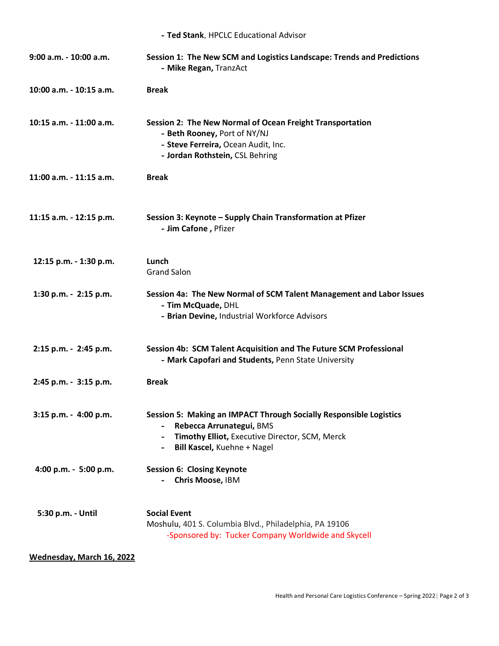| - Ted Stank, HPCLC Educational Advisor |                                                                                                                                                                                        |  |
|----------------------------------------|----------------------------------------------------------------------------------------------------------------------------------------------------------------------------------------|--|
| 9:00 a.m. - 10:00 a.m.                 | Session 1: The New SCM and Logistics Landscape: Trends and Predictions<br>- Mike Regan, TranzAct                                                                                       |  |
| 10:00 a.m. - 10:15 a.m.                | <b>Break</b>                                                                                                                                                                           |  |
| 10:15 a.m. - 11:00 a.m.                | Session 2: The New Normal of Ocean Freight Transportation<br>- Beth Rooney, Port of NY/NJ<br>- Steve Ferreira, Ocean Audit, Inc.<br>- Jordan Rothstein, CSL Behring                    |  |
| 11:00 a.m. - 11:15 a.m.                | <b>Break</b>                                                                                                                                                                           |  |
| 11:15 a.m. - 12:15 p.m.                | Session 3: Keynote - Supply Chain Transformation at Pfizer<br>- Jim Cafone, Pfizer                                                                                                     |  |
| 12:15 p.m. - 1:30 p.m.                 | Lunch<br><b>Grand Salon</b>                                                                                                                                                            |  |
| 1:30 p.m. - 2:15 p.m.                  | Session 4a: The New Normal of SCM Talent Management and Labor Issues<br>- Tim McQuade, DHL<br>- Brian Devine, Industrial Workforce Advisors                                            |  |
| 2:15 p.m. - 2:45 p.m.                  | Session 4b: SCM Talent Acquisition and The Future SCM Professional<br>- Mark Capofari and Students, Penn State University                                                              |  |
| 2:45 p.m. - 3:15 p.m.                  | <b>Break</b>                                                                                                                                                                           |  |
| 3:15 p.m. - 4:00 p.m.                  | <b>Session 5: Making an IMPACT Through Socially Responsible Logistics</b><br>Rebecca Arrunategui, BMS<br>Timothy Elliot, Executive Director, SCM, Merck<br>Bill Kascel, Kuehne + Nagel |  |
| 4:00 p.m. - 5:00 p.m.                  | <b>Session 6: Closing Keynote</b><br>Chris Moose, IBM                                                                                                                                  |  |
| 5:30 p.m. - Until                      | <b>Social Event</b><br>Moshulu, 401 S. Columbia Blvd., Philadelphia, PA 19106<br>-Sponsored by: Tucker Company Worldwide and Skycell                                                   |  |

## **Wednesday, March 16, 2022**